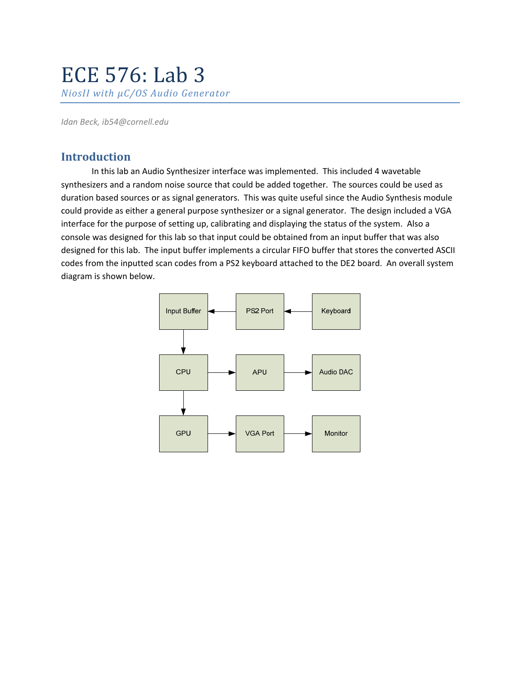# ECE 576: Lab 3 *NiosII with µC/OS Audio Generator*

*Idan Beck, ib54@cornell.edu*

# **Introduction**

In this lab an Audio Synthesizer interface was implemented. This included 4 wavetable synthesizers and a random noise source that could be added together. The sources could be used as duration based sources or as signal generators. This was quite useful since the Audio Synthesis module could provide as either a general purpose synthesizer or a signal generator. The design included a VGA interface for the purpose of setting up, calibrating and displaying the status of the system. Also a console was designed for this lab so that input could be obtained from an input buffer that was also designed for this lab. The input buffer implements a circular FIFO buffer that stores the converted ASCII codes from the inputted scan codes from a PS2 keyboard attached to the DE2 board. An overall system diagram is shown below.

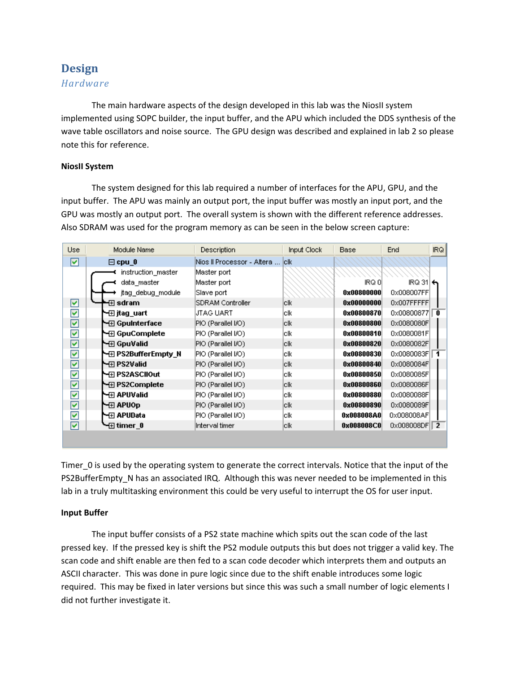# **Design**

# *Hardware*

The main hardware aspects of the design developed in this lab was the NiosII system implemented using SOPC builder, the input buffer, and the APU which included the DDS synthesis of the wave table oscillators and noise source. The GPU design was described and explained in lab 2 so please note this for reference.

## **NiosII System**

The system designed for this lab required a number of interfaces for the APU, GPU, and the input buffer. The APU was mainly an output port, the input buffer was mostly an input port, and the GPU was mostly an output port. The overall system is shown with the different reference addresses. Also SDRAM was used for the program memory as can be seen in the below screen capture:

| Use                  | Module Name            | <b>Description</b>               | Input Clock | Base       | End                        | IRQ. |
|----------------------|------------------------|----------------------------------|-------------|------------|----------------------------|------|
| ☑                    | $\Box$ cpu $\Box$      | Nios II Processor - Altera   clk |             |            |                            |      |
|                      | instruction master     | Master port                      |             |            |                            |      |
|                      | data_master            | Master port                      |             | IRQ 01     | $IRQ 31$ $\leftrightarrow$ |      |
|                      | jtag debug module      | Slave port                       |             | 0x00800000 | 0x008007FF                 |      |
| ☑                    | ⊞sdram                 | SDRAM Controller                 | lclk.       | 0x00000000 | 0x007FFFFFF                |      |
| $\blacktriangledown$ | №⊞ jtag uart           | JTAG UART                        | lclki       | 0x00800870 | 0x00800877                 | 0    |
| ☑                    | N⊞ GpuInterface        | PIO (Parallel I/O)               | lclk.       | 0x00800800 | 0x0080080F                 |      |
| ▽                    | N⊞ GpuComplete         | PIO (Parallel I/O)               | lclk.       | 0x00800810 | 0x0080081F                 |      |
| ☑                    | ∖⊟ GpuValid            | PIO (Parallel I/O)               | lclk.       | 0x00800820 | 0x0080082F                 |      |
| ☑                    | N PS2BufferEmpty N     | PIO (Parallel I/O)               | lclk.       | 0x00800830 | 0x0080083FII               |      |
| ☑                    | ├─⊞ PS2Valid           | PIO (Parallel I/O)               | lclk        | 0x00800840 | 0x0080084F                 |      |
| ⊽                    | N⊞ PS2ASCIIOut         | PIO (Parallel I/O)               | lclk        | 0x00800850 | 0x0080085F                 |      |
| ▽                    | <b>\</b> ⊟ PS2Complete | PIO (Parallel I/O)               | lclk.       | 0x00800860 | 0x0080086F                 |      |
| ⊽                    | ∖⊟ APUValid            | PIO (Parallel I/O)               | lclk        | 0x00800880 | 0x0080088F                 |      |
| ☑                    | N⊞ APUOp               | PIO (Parallel I/O)               | lclk.       | 0x00800890 | 0x0080089F                 |      |
| ▽                    | \—⊞ APUData            | PIO (Parallel I/O)               | lclk        | 0x008008A0 | 0x008008AF                 |      |
| ⊽                    | भ⊡ timer  0            | Interval timer                   | lclk.       | 0x008008C0 | 0x008008DF 2               |      |
|                      |                        |                                  |             |            |                            |      |

Timer 0 is used by the operating system to generate the correct intervals. Notice that the input of the PS2BufferEmpty\_N has an associated IRQ. Although this was never needed to be implemented in this lab in a truly multitasking environment this could be very useful to interrupt the OS for user input.

## **Input Buffer**

The input buffer consists of a PS2 state machine which spits out the scan code of the last pressed key. If the pressed key is shift the PS2 module outputs this but does not trigger a valid key. The scan code and shift enable are then fed to a scan code decoder which interprets them and outputs an ASCII character. This was done in pure logic since due to the shift enable introduces some logic required. This may be fixed in later versions but since this was such a small number of logic elements I did not further investigate it.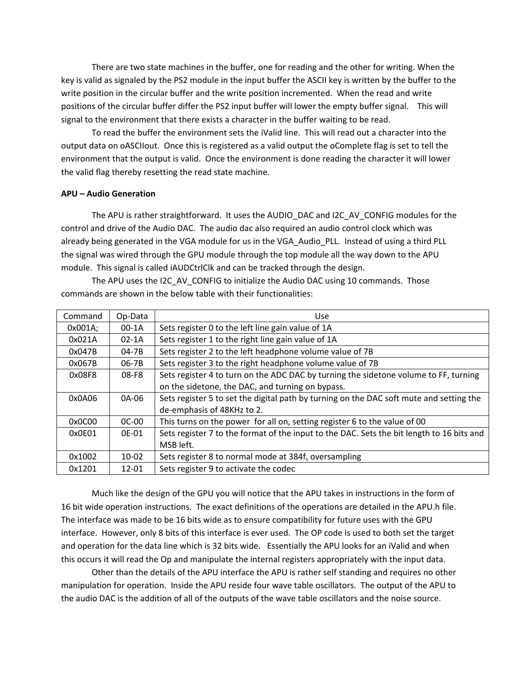There are two state machines in the buffer, one for reading and the other for writing. When the key is valid as signaled by the PS2 module in the input buffer the ASCII key is written by the buffer to the write position in the circular buffer and the write position incremented. When the read and write positions of the circular buffer differ the PS2 input buffer will lower the empty buffer signal. This will signal to the environment that there exists a character in the buffer waiting to be read.

To read the buffer the environment sets the iValid line. This will read out a character into the output data on oASCIIout. Once this is registered as a valid output the oComplete flag is set to tell the environment that the output is valid. Once the environment is done reading the character it will lower the valid flag thereby resetting the read state machine.

#### **APU – Audio Generation**

The APU is rather straightforward. It uses the AUDIO DAC and I2C AV CONFIG modules for the control and drive of the Audio DAC. The audio dac also required an audio control clock which was already being generated in the VGA module for us in the VGA\_Audio\_PLL. Instead of using a third PLL the signal was wired through the GPU module through the top module all the way down to the APU module. This signal is called iAUDCtrlClk and can be tracked through the design.

| Command | Op-Data   | <b>Use</b>                                                                                |  |
|---------|-----------|-------------------------------------------------------------------------------------------|--|
| 0x001A; | $00-1A$   | Sets register 0 to the left line gain value of 1A                                         |  |
| 0x021A  | $02-1A$   | Sets register 1 to the right line gain value of 1A                                        |  |
| 0x047B  | 04-7B     | Sets register 2 to the left headphone volume value of 7B                                  |  |
| 0x067B  | 06-7B     | Sets register 3 to the right headphone volume value of 7B                                 |  |
| 0x08F8  | $08-F8$   | Sets register 4 to turn on the ADC DAC by turning the sidetone volume to FF, turning      |  |
|         |           | on the sidetone, the DAC, and turning on bypass.                                          |  |
| 0x0A06  | 0A-06     | Sets register 5 to set the digital path by turning on the DAC soft mute and setting the   |  |
|         |           | de-emphasis of 48KHz to 2.                                                                |  |
| 0x0C00  | $OC-OO$   | This turns on the power for all on, setting register 6 to the value of 00                 |  |
| 0x0E01  | 0F-01     | Sets register 7 to the format of the input to the DAC. Sets the bit length to 16 bits and |  |
|         |           | MSB left.                                                                                 |  |
| 0x1002  | $10 - 02$ | Sets register 8 to normal mode at 384f <sub>s</sub> oversampling                          |  |
| 0x1201  | $12 - 01$ | Sets register 9 to activate the codec                                                     |  |

The APU uses the I2C AV CONFIG to initialize the Audio DAC using 10 commands. Those commands are shown in the below table with their functionalities:

Much like the design of the GPU you will notice that the APU takes in instructions in the form of 16 bit wide operation instructions. The exact definitions of the operations are detailed in the APU.h file. The interface was made to be 16 bits wide as to ensure compatibility for future uses with the GPU interface. However, only 8 bits of this interface is ever used. The OP code is used to both set the target and operation for the data line which is 32 bits wide. Essentially the APU looks for an iValid and when this occurs it will read the Op and manipulate the internal registers appropriately with the input data.

Other than the details of the APU interface the APU is rather self standing and requires no other manipulation for operation. Inside the APU reside four wave table oscillators. The output of the APU to the audio DAC is the addition of all of the outputs of the wave table oscillators and the noise source.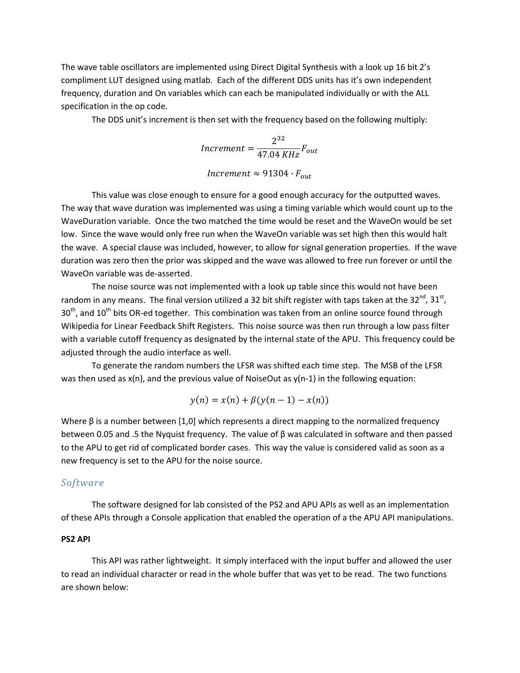The wave table oscillators are implemented using Direct Digital Synthesis with a look up 16 bit 2's compliment LUT designed using matlab. Each of the different DDS units has it's own independent frequency, duration and On variables which can each be manipulated individually or with the ALL specification in the op code.

The DDS unit's increment is then set with the frequency based on the following multiply:

$$
Increment = \frac{2^{32}}{47.04 \, KHz} F_{out}
$$
\n
$$
Increment \approx 91304 \cdot F_{out}
$$

This value was close enough to ensure for a good enough accuracy for the outputted waves. The way that wave duration was implemented was using a timing variable which would count up to the WaveDuration variable. Once the two matched the time would be reset and the WaveOn would be set low. Since the wave would only free run when the WaveOn variable was set high then this would halt the wave. A special clause was included, however, to allow for signal generation properties. If the wave duration was zero then the prior was skipped and the wave was allowed to free run forever or until the WaveOn variable was de‐asserted.

The noise source was not implemented with a look up table since this would not have been random in any means. The final version utilized a 32 bit shift register with taps taken at the  $32^{nd}$ ,  $31^{st}$ , 30<sup>th</sup>, and 10<sup>th</sup> bits OR-ed together. This combination was taken from an online source found through Wikipedia for Linear Feedback Shift Registers. This noise source was then run through a low pass filter with a variable cutoff frequency as designated by the internal state of the APU. This frequency could be adjusted through the audio interface as well.

To generate the random numbers the LFSR was shifted each time step. The MSB of the LFSR was then used as  $x(n)$ , and the previous value of NoiseOut as  $y(n-1)$  in the following equation:

$$
y(n) = x(n) + \beta(y(n-1) - x(n))
$$

Where  $\beta$  is a number between [1,0] which represents a direct mapping to the normalized frequency between 0.05 and .5 the Nyquist frequency. The value of β was calculated in software and then passed to the APU to get rid of complicated border cases. This way the value is considered valid as soon as a new frequency is set to the APU for the noise source.

#### *Software*

The software designed for lab consisted of the PS2 and APU APIs as well as an implementation of these APIs through a Console application that enabled the operation of a the APU API manipulations.

#### **PS2 API**

This API was rather lightweight. It simply interfaced with the input buffer and allowed the user to read an individual character or read in the whole buffer that was yet to be read. The two functions are shown below: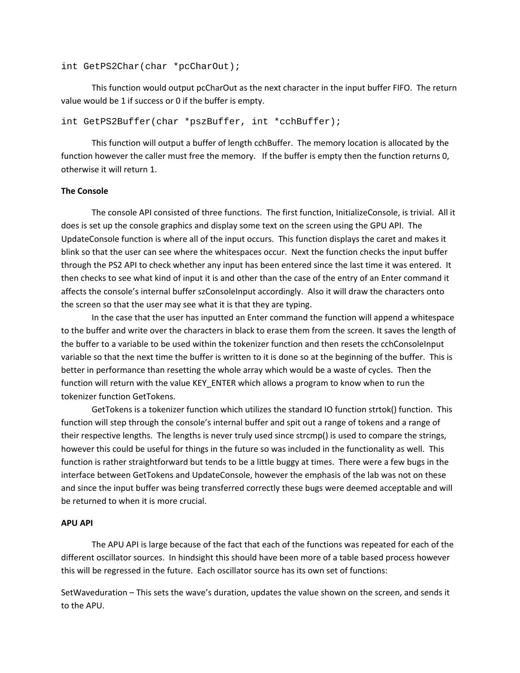```
int GetPS2Char(char *pcCharOut);
```
This function would output pcCharOut as the next character in the input buffer FIFO. The return value would be 1 if success or 0 if the buffer is empty.

int GetPS2Buffer(char \*pszBuffer, int \*cchBuffer);

This function will output a buffer of length cchBuffer. The memory location is allocated by the function however the caller must free the memory. If the buffer is empty then the function returns 0, otherwise it will return 1.

#### **The Console**

The console API consisted of three functions. The first function, InitializeConsole, is trivial. All it does is set up the console graphics and display some text on the screen using the GPU API. The UpdateConsole function is where all of the input occurs. This function displays the caret and makes it blink so that the user can see where the whitespaces occur. Next the function checks the input buffer through the PS2 API to check whether any input has been entered since the last time it was entered. It then checks to see what kind of input it is and other than the case of the entry of an Enter command it affects the console's internal buffer szConsoleInput accordingly. Also it will draw the characters onto the screen so that the user may see what it is that they are typing.

In the case that the user has inputted an Enter command the function will append a whitespace to the buffer and write over the characters in black to erase them from the screen. It saves the length of the buffer to a variable to be used within the tokenizer function and then resets the cchConsoleInput variable so that the next time the buffer is written to it is done so at the beginning of the buffer. This is better in performance than resetting the whole array which would be a waste of cycles. Then the function will return with the value KEY\_ENTER which allows a program to know when to run the tokenizer function GetTokens.

GetTokens is a tokenizer function which utilizes the standard IO function strtok() function. This function will step through the console's internal buffer and spit out a range of tokens and a range of their respective lengths. The lengths is never truly used since strcmp() is used to compare the strings, however this could be useful for things in the future so was included in the functionality as well. This function is rather straightforward but tends to be a little buggy at times. There were a few bugs in the interface between GetTokens and UpdateConsole, however the emphasis of the lab was not on these and since the input buffer was being transferred correctly these bugs were deemed acceptable and will be returned to when it is more crucial.

#### **APU API**

The APU API is large because of the fact that each of the functions was repeated for each of the different oscillator sources. In hindsight this should have been more of a table based process however this will be regressed in the future. Each oscillator source has its own set of functions:

SetWaveduration – This sets the wave's duration, updates the value shown on the screen, and sends it to the APU.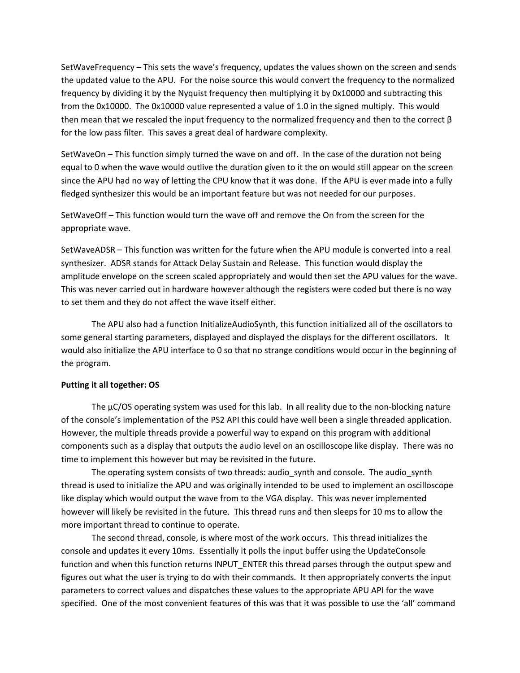SetWaveFrequency – This sets the wave's frequency, updates the values shown on the screen and sends the updated value to the APU. For the noise source this would convert the frequency to the normalized frequency by dividing it by the Nyquist frequency then multiplying it by 0x10000 and subtracting this from the 0x10000. The 0x10000 value represented a value of 1.0 in the signed multiply. This would then mean that we rescaled the input frequency to the normalized frequency and then to the correct  $\beta$ for the low pass filter. This saves a great deal of hardware complexity.

SetWaveOn – This function simply turned the wave on and off. In the case of the duration not being equal to 0 when the wave would outlive the duration given to it the on would still appear on the screen since the APU had no way of letting the CPU know that it was done. If the APU is ever made into a fully fledged synthesizer this would be an important feature but was not needed for our purposes.

SetWaveOff – This function would turn the wave off and remove the On from the screen for the appropriate wave.

SetWaveADSR – This function was written for the future when the APU module is converted into a real synthesizer. ADSR stands for Attack Delay Sustain and Release. This function would display the amplitude envelope on the screen scaled appropriately and would then set the APU values for the wave. This was never carried out in hardware however although the registers were coded but there is no way to set them and they do not affect the wave itself either.

The APU also had a function InitializeAudioSynth, this function initialized all of the oscillators to some general starting parameters, displayed and displayed the displays for the different oscillators. It would also initialize the APU interface to 0 so that no strange conditions would occur in the beginning of the program.

#### **Putting it all together: OS**

The  $\mu$ C/OS operating system was used for this lab. In all reality due to the non-blocking nature of the console's implementation of the PS2 API this could have well been a single threaded application. However, the multiple threads provide a powerful way to expand on this program with additional components such as a display that outputs the audio level on an oscilloscope like display. There was no time to implement this however but may be revisited in the future.

The operating system consists of two threads: audio\_synth and console. The audio\_synth thread is used to initialize the APU and was originally intended to be used to implement an oscilloscope like display which would output the wave from to the VGA display. This was never implemented however will likely be revisited in the future. This thread runs and then sleeps for 10 ms to allow the more important thread to continue to operate.

The second thread, console, is where most of the work occurs. This thread initializes the console and updates it every 10ms. Essentially it polls the input buffer using the UpdateConsole function and when this function returns INPUT\_ENTER this thread parses through the output spew and figures out what the user is trying to do with their commands. It then appropriately converts the input parameters to correct values and dispatches these values to the appropriate APU API for the wave specified. One of the most convenient features of this was that it was possible to use the 'all' command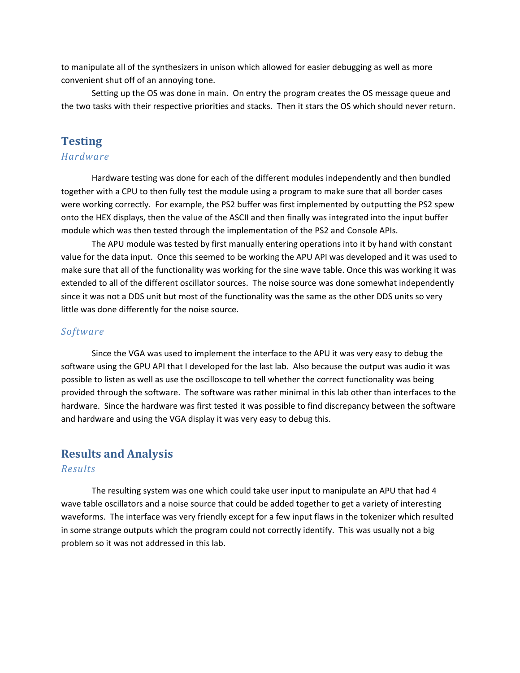to manipulate all of the synthesizers in unison which allowed for easier debugging as well as more convenient shut off of an annoying tone.

Setting up the OS was done in main. On entry the program creates the OS message queue and the two tasks with their respective priorities and stacks. Then it stars the OS which should never return.

# **Testing**

# *Hardware*

Hardware testing was done for each of the different modules independently and then bundled together with a CPU to then fully test the module using a program to make sure that all border cases were working correctly. For example, the PS2 buffer was first implemented by outputting the PS2 spew onto the HEX displays, then the value of the ASCII and then finally was integrated into the input buffer module which was then tested through the implementation of the PS2 and Console APIs.

The APU module was tested by first manually entering operations into it by hand with constant value for the data input. Once this seemed to be working the APU API was developed and it was used to make sure that all of the functionality was working for the sine wave table. Once this was working it was extended to all of the different oscillator sources. The noise source was done somewhat independently since it was not a DDS unit but most of the functionality was the same as the other DDS units so very little was done differently for the noise source.

## *Software*

Since the VGA was used to implement the interface to the APU it was very easy to debug the software using the GPU API that I developed for the last lab. Also because the output was audio it was possible to listen as well as use the oscilloscope to tell whether the correct functionality was being provided through the software. The software was rather minimal in this lab other than interfaces to the hardware. Since the hardware was first tested it was possible to find discrepancy between the software and hardware and using the VGA display it was very easy to debug this.

# **Results and Analysis**

#### *Results*

The resulting system was one which could take user input to manipulate an APU that had 4 wave table oscillators and a noise source that could be added together to get a variety of interesting waveforms. The interface was very friendly except for a few input flaws in the tokenizer which resulted in some strange outputs which the program could not correctly identify. This was usually not a big problem so it was not addressed in this lab.